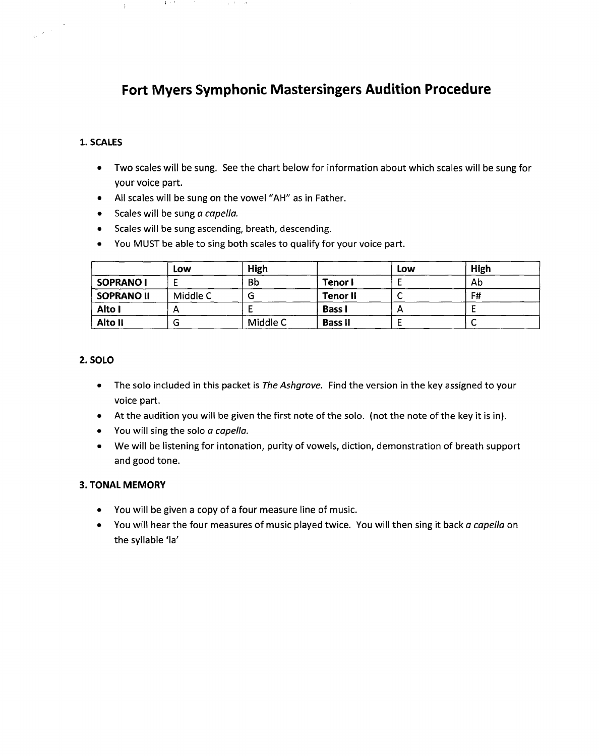## **Fort Myers Symphonic Mastersingers Audition Procedure**

## **1. SCALES**

 $\frac{1}{2\pi}$  ,  $\frac{1}{2}$ 

- Two scales will be sung. See the chart below for information about which scales will be sung for your voice part.
- All scales will be sung on the vowel "AH" as in Father.
- Scales will be sung a *capel/a.*

**Carl Corp.** 

 $\hat{+}$ 

- Scales will be sung ascending, breath, descending.
- You MUST be able to sing both scales to qualify for your voice part.

|                   | Low      | High     |                | Low | High |
|-------------------|----------|----------|----------------|-----|------|
| SOPRANO I         |          | Bb       | Tenor I        |     | Ab   |
| <b>SOPRANO II</b> | Middle C | u        | Tenor II       |     | F#   |
| Alto I            |          |          | <b>Bass I</b>  |     |      |
| Alto II           | o        | Middle C | <b>Bass II</b> |     | ∼    |

## **2. SOLO**

- The solo included in this packet is *The Ashgrove.* Find the version in the key assigned to your voice part.
- At the audition you will be given the first note of the solo. (not the note of the key it is in).
- You will sing the solo a *capella.*
- We will be listening for intonation, purity of vowels, diction, demonstration of breath support and good tone.

## **3. TONAL MEMORY**

- You will be given a copy of a four measure line of music.
- You will hear the four measures of music played twice. You will then sing it back a *capella* on the syllable 'la'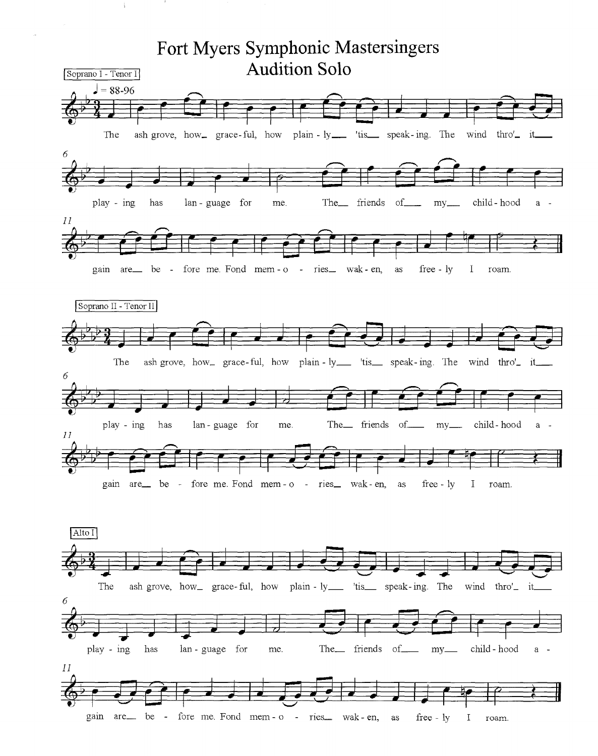